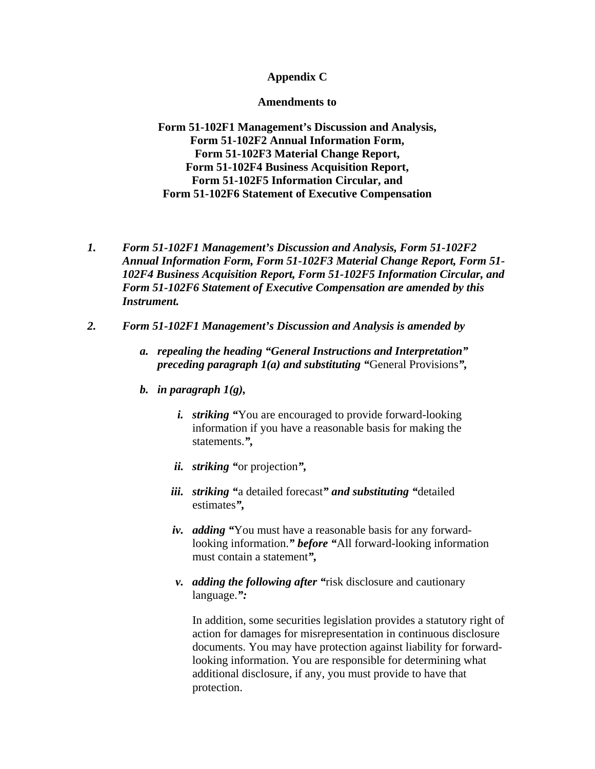### **Appendix C**

#### **Amendments to**

**Form 51-102F1 Management's Discussion and Analysis, Form 51-102F2 Annual Information Form, Form 51-102F3 Material Change Report, Form 51-102F4 Business Acquisition Report, Form 51-102F5 Information Circular, and Form 51-102F6 Statement of Executive Compensation** 

- *1. Form 51-102F1 Management's Discussion and Analysis, Form 51-102F2 Annual Information Form, Form 51-102F3 Material Change Report, Form 51- 102F4 Business Acquisition Report, Form 51-102F5 Information Circular, and Form 51-102F6 Statement of Executive Compensation are amended by this Instrument.*
- *2. Form 51-102F1 Management's Discussion and Analysis is amended by* 
	- *a. repealing the heading "General Instructions and Interpretation" preceding paragraph 1(a) and substituting "*General Provisions*",*
	- *b. in paragraph 1(g),* 
		- *i. striking "*You are encouraged to provide forward-looking information if you have a reasonable basis for making the statements.*",*
		- *ii. striking "*or projection*",*
		- *iii. striking "*a detailed forecast*" and substituting "*detailed estimates*",*
		- *iv. adding "*You must have a reasonable basis for any forwardlooking information.*" before "*All forward-looking information must contain a statement*",*
		- *v. adding the following after "*risk disclosure and cautionary language.*":*

In addition, some securities legislation provides a statutory right of action for damages for misrepresentation in continuous disclosure documents. You may have protection against liability for forwardlooking information. You are responsible for determining what additional disclosure, if any, you must provide to have that protection.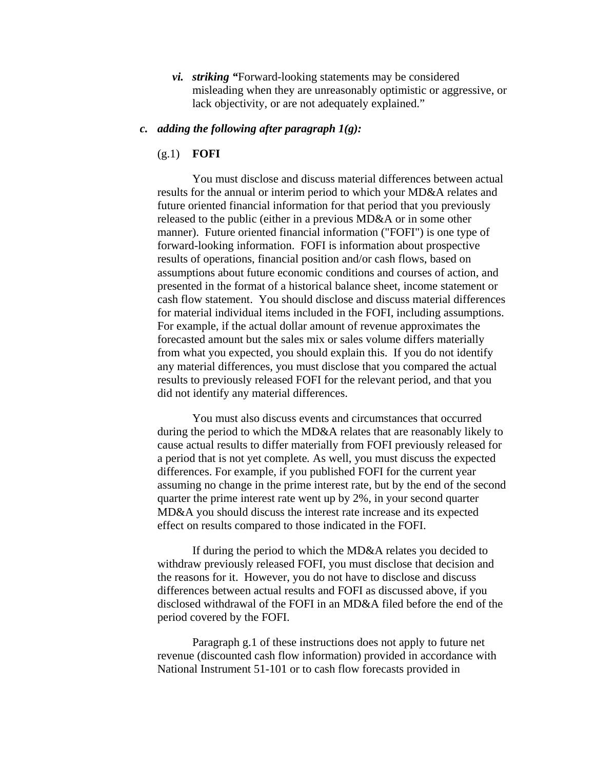*vi. striking "*Forward-looking statements may be considered misleading when they are unreasonably optimistic or aggressive, or lack objectivity, or are not adequately explained."

### *c. adding the following after paragraph 1(g):*

### (g.1) **FOFI**

You must disclose and discuss material differences between actual results for the annual or interim period to which your MD&A relates and future oriented financial information for that period that you previously released to the public (either in a previous MD&A or in some other manner). Future oriented financial information ("FOFI") is one type of forward-looking information. FOFI is information about prospective results of operations, financial position and/or cash flows, based on assumptions about future economic conditions and courses of action, and presented in the format of a historical balance sheet, income statement or cash flow statement. You should disclose and discuss material differences for material individual items included in the FOFI, including assumptions. For example, if the actual dollar amount of revenue approximates the forecasted amount but the sales mix or sales volume differs materially from what you expected, you should explain this. If you do not identify any material differences, you must disclose that you compared the actual results to previously released FOFI for the relevant period, and that you did not identify any material differences.

You must also discuss events and circumstances that occurred during the period to which the MD&A relates that are reasonably likely to cause actual results to differ materially from FOFI previously released for a period that is not yet complete*.* As well, you must discuss the expected differences. For example, if you published FOFI for the current year assuming no change in the prime interest rate, but by the end of the second quarter the prime interest rate went up by 2%, in your second quarter MD&A you should discuss the interest rate increase and its expected effect on results compared to those indicated in the FOFI.

If during the period to which the MD&A relates you decided to withdraw previously released FOFI, you must disclose that decision and the reasons for it. However, you do not have to disclose and discuss differences between actual results and FOFI as discussed above, if you disclosed withdrawal of the FOFI in an MD&A filed before the end of the period covered by the FOFI.

Paragraph g.1 of these instructions does not apply to future net revenue (discounted cash flow information) provided in accordance with National Instrument 51-101 or to cash flow forecasts provided in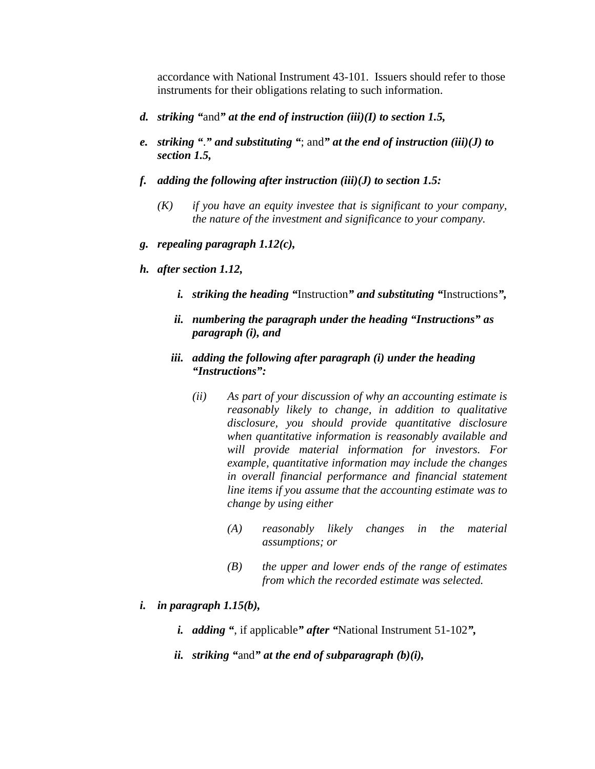accordance with National Instrument 43-101. Issuers should refer to those instruments for their obligations relating to such information.

- *d. striking "*and*" at the end of instruction (iii)(I) to section 1.5,*
- *e. striking "*.*" and substituting "*; and*" at the end of instruction (iii)(J) to section 1.5,*
- *f. adding the following after instruction (iii)(J) to section 1.5:* 
	- *(K) if you have an equity investee that is significant to your company, the nature of the investment and significance to your company.*
- *g. repealing paragraph 1.12(c),*
- *h. after section 1.12,* 
	- *i. striking the heading "*Instruction*" and substituting "*Instructions*",*
	- *ii. numbering the paragraph under the heading "Instructions" as paragraph (i), and*
	- *iii. adding the following after paragraph (i) under the heading "Instructions":* 
		- *(ii) As part of your discussion of why an accounting estimate is reasonably likely to change, in addition to qualitative disclosure, you should provide quantitative disclosure when quantitative information is reasonably available and will provide material information for investors. For example, quantitative information may include the changes in overall financial performance and financial statement line items if you assume that the accounting estimate was to change by using either* 
			- *(A) reasonably likely changes in the material assumptions; or*
			- *(B) the upper and lower ends of the range of estimates from which the recorded estimate was selected.*
- *i. in paragraph 1.15(b),* 
	- *i. adding "*, if applicable*" after "*National Instrument 51-102*",*
	- *ii. striking "*and*" at the end of subparagraph (b)(i),*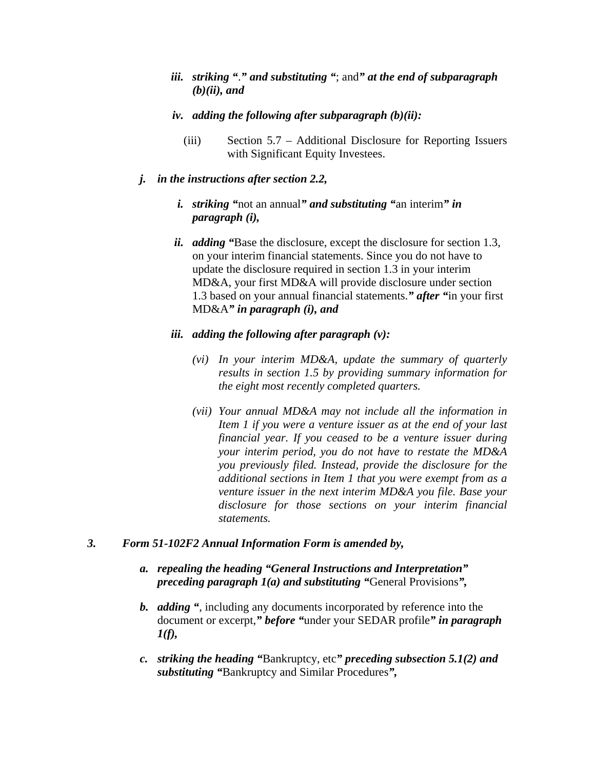- *iii. striking "*.*" and substituting "*; and*" at the end of subparagraph (b)(ii), and*
- *iv. adding the following after subparagraph (b)(ii):* 
	- (iii) Section 5.7 Additional Disclosure for Reporting Issuers with Significant Equity Investees.

### *j. in the instructions after section 2.2,*

- *i. striking "*not an annual*" and substituting "*an interim*" in paragraph (i),*
- *ii. adding "*Base the disclosure, except the disclosure for section 1.3, on your interim financial statements. Since you do not have to update the disclosure required in section 1.3 in your interim MD&A, your first MD&A will provide disclosure under section 1.3 based on your annual financial statements.*" after "*in your first MD&A*" in paragraph (i), and*

### *iii. adding the following after paragraph (v):*

- *(vi) In your interim MD&A, update the summary of quarterly results in section 1.5 by providing summary information for the eight most recently completed quarters.*
- *(vii) Your annual MD&A may not include all the information in Item 1 if you were a venture issuer as at the end of your last financial year. If you ceased to be a venture issuer during your interim period, you do not have to restate the MD&A you previously filed. Instead, provide the disclosure for the additional sections in Item 1 that you were exempt from as a venture issuer in the next interim MD&A you file. Base your disclosure for those sections on your interim financial statements.*

### *3. Form 51-102F2 Annual Information Form is amended by,*

- *a. repealing the heading "General Instructions and Interpretation" preceding paragraph 1(a) and substituting "*General Provisions*",*
- *b. adding "*, including any documents incorporated by reference into the document or excerpt,*" before "*under your SEDAR profile*" in paragraph 1(f),*
- *c. striking the heading "*Bankruptcy, etc*" preceding subsection 5.1(2) and substituting "*Bankruptcy and Similar Procedures*",*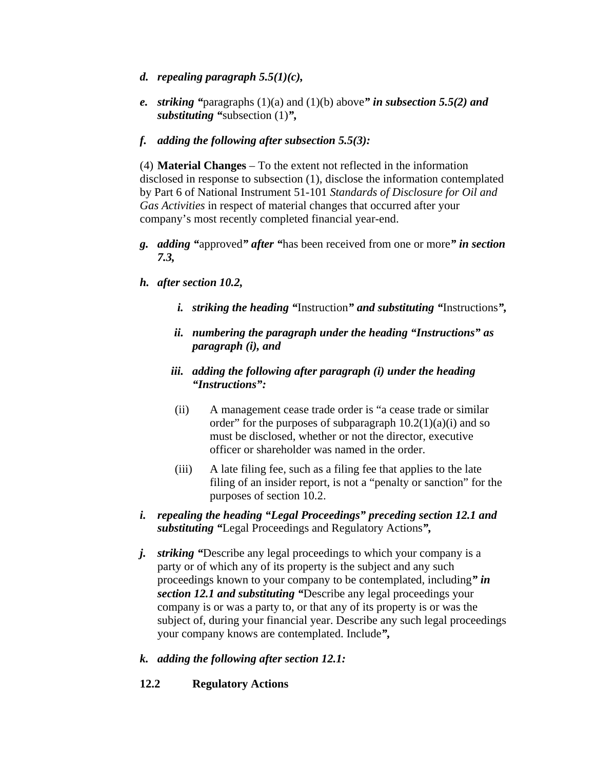- *d. repealing paragraph 5.5(1)(c),*
- *e. striking "*paragraphs (1)(a) and (1)(b) above*" in subsection 5.5(2) and substituting "*subsection (1)*",*
- *f. adding the following after subsection 5.5(3):*

(4) **Material Changes** – To the extent not reflected in the information disclosed in response to subsection (1), disclose the information contemplated by Part 6 of National Instrument 51-101 *Standards of Disclosure for Oil and Gas Activities* in respect of material changes that occurred after your company's most recently completed financial year-end.

- *g. adding "*approved*" after "*has been received from one or more*" in section 7.3,*
- *h. after section 10.2,* 
	- *i. striking the heading "*Instruction*" and substituting "*Instructions*",*
	- *ii. numbering the paragraph under the heading "Instructions" as paragraph (i), and*
	- *iii. adding the following after paragraph (i) under the heading "Instructions":*
	- (ii) A management cease trade order is "a cease trade or similar order" for the purposes of subparagraph  $10.2(1)(a)(i)$  and so must be disclosed, whether or not the director, executive officer or shareholder was named in the order.
	- (iii) A late filing fee, such as a filing fee that applies to the late filing of an insider report, is not a "penalty or sanction" for the purposes of section 10.2.
- *i. repealing the heading "Legal Proceedings" preceding section 12.1 and substituting "*Legal Proceedings and Regulatory Actions*",*
- *j. striking "*Describe any legal proceedings to which your company is a party or of which any of its property is the subject and any such proceedings known to your company to be contemplated, including*" in section 12.1 and substituting "*Describe any legal proceedings your company is or was a party to, or that any of its property is or was the subject of, during your financial year. Describe any such legal proceedings your company knows are contemplated. Include*",*
- *k. adding the following after section 12.1:*
- **12.2 Regulatory Actions**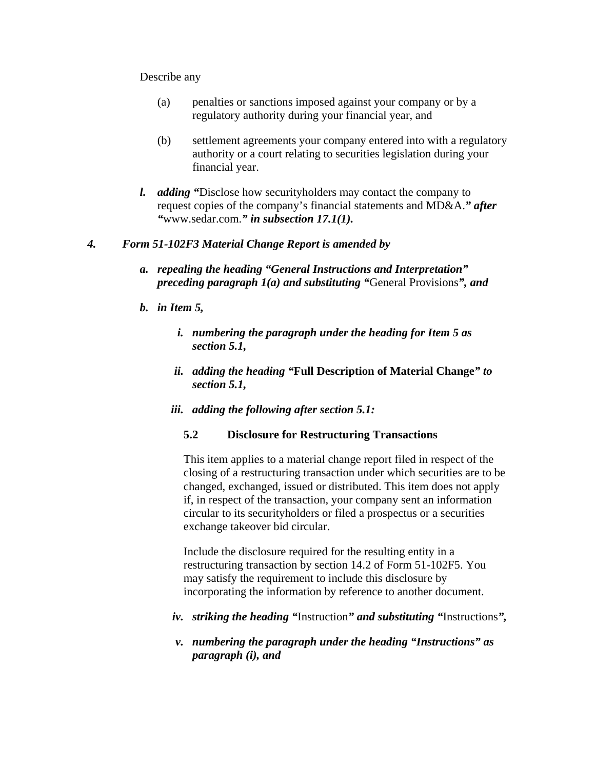#### Describe any

- (a) penalties or sanctions imposed against your company or by a regulatory authority during your financial year, and
- (b) settlement agreements your company entered into with a regulatory authority or a court relating to securities legislation during your financial year.
- *l. adding "*Disclose how securityholders may contact the company to request copies of the company's financial statements and MD&A.*" after "*www.sedar.com.*" in subsection 17.1(1).*

## *4. Form 51-102F3 Material Change Report is amended by*

- *a. repealing the heading "General Instructions and Interpretation" preceding paragraph 1(a) and substituting "*General Provisions*", and*
- *b. in Item 5,* 
	- *i. numbering the paragraph under the heading for Item 5 as section 5.1,*
	- *ii. adding the heading "***Full Description of Material Change***" to section 5.1,*
	- *iii. adding the following after section 5.1:*

### **5.2 Disclosure for Restructuring Transactions**

This item applies to a material change report filed in respect of the closing of a restructuring transaction under which securities are to be changed, exchanged, issued or distributed. This item does not apply if, in respect of the transaction, your company sent an information circular to its securityholders or filed a prospectus or a securities exchange takeover bid circular.

Include the disclosure required for the resulting entity in a restructuring transaction by section 14.2 of Form 51-102F5. You may satisfy the requirement to include this disclosure by incorporating the information by reference to another document.

- *iv. striking the heading "*Instruction*" and substituting "*Instructions*",*
- *v. numbering the paragraph under the heading "Instructions" as paragraph (i), and*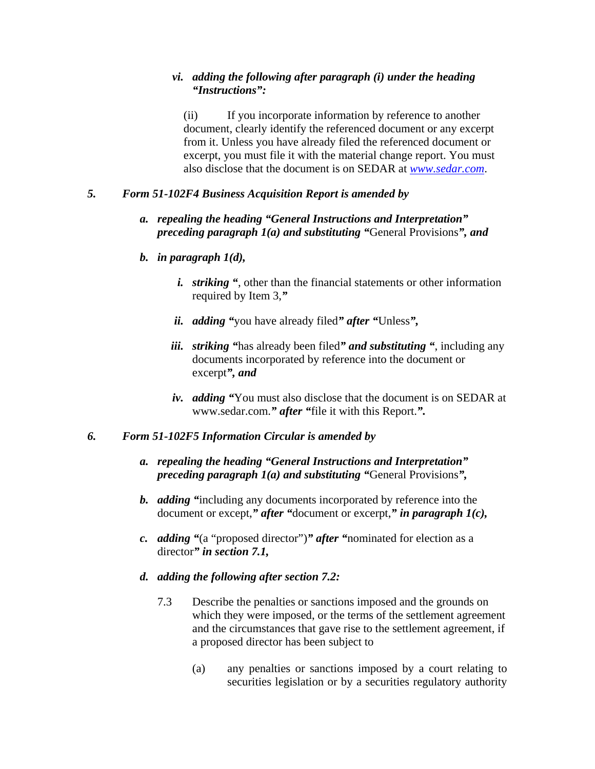### *vi. adding the following after paragraph (i) under the heading "Instructions":*

(ii) If you incorporate information by reference to another document, clearly identify the referenced document or any excerpt from it. Unless you have already filed the referenced document or excerpt, you must file it with the material change report. You must also disclose that the document is on SEDAR at *[www.sedar.com](http://www.sedar.com/)*.

## *5. Form 51-102F4 Business Acquisition Report is amended by*

## *a. repealing the heading "General Instructions and Interpretation" preceding paragraph 1(a) and substituting "*General Provisions*", and*

### *b. in paragraph 1(d),*

- *i. striking "*, other than the financial statements or other information required by Item 3,*"*
- *ii. adding "*you have already filed*" after "*Unless*",*
- *iii. striking "*has already been filed*" and substituting "*, including any documents incorporated by reference into the document or excerpt*", and*
- *iv. adding "*You must also disclose that the document is on SEDAR at www.sedar.com.*" after "*file it with this Report.*".*

### *6. Form 51-102F5 Information Circular is amended by*

- *a. repealing the heading "General Instructions and Interpretation" preceding paragraph 1(a) and substituting "*General Provisions*",*
- *b. adding "*including any documents incorporated by reference into the document or except,*" after "*document or excerpt,*" in paragraph 1(c),*
- *c. adding "*(a "proposed director")*" after "*nominated for election as a director*" in section 7.1,*
- *d. adding the following after section 7.2:* 
	- 7.3 Describe the penalties or sanctions imposed and the grounds on which they were imposed, or the terms of the settlement agreement and the circumstances that gave rise to the settlement agreement, if a proposed director has been subject to
		- (a) any penalties or sanctions imposed by a court relating to securities legislation or by a securities regulatory authority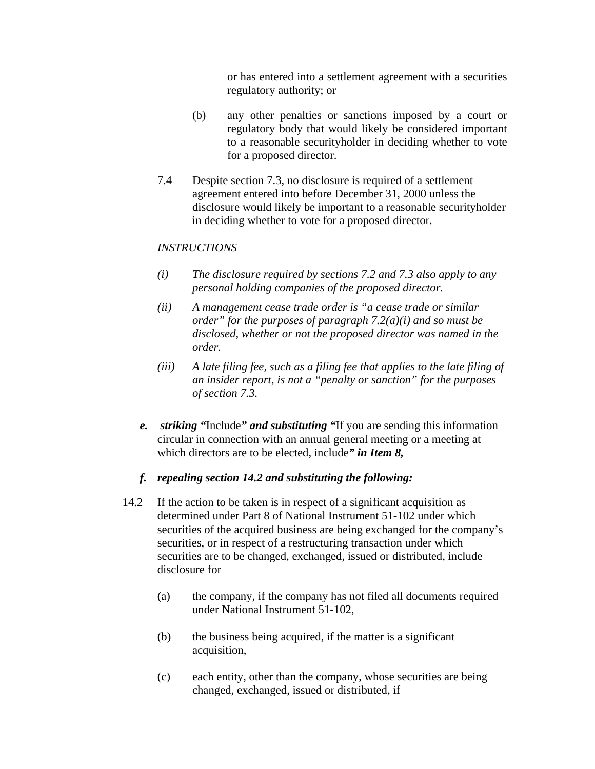or has entered into a settlement agreement with a securities regulatory authority; or

- (b) any other penalties or sanctions imposed by a court or regulatory body that would likely be considered important to a reasonable securityholder in deciding whether to vote for a proposed director.
- 7.4 Despite section 7.3, no disclosure is required of a settlement agreement entered into before December 31, 2000 unless the disclosure would likely be important to a reasonable securityholder in deciding whether to vote for a proposed director.

# *INSTRUCTIONS*

- *(i) The disclosure required by sections 7.2 and 7.3 also apply to any personal holding companies of the proposed director.*
- *(ii) A management cease trade order is "a cease trade or similar order" for the purposes of paragraph 7.2(a)(i) and so must be disclosed, whether or not the proposed director was named in the order.*
- *(iii) A late filing fee, such as a filing fee that applies to the late filing of an insider report, is not a "penalty or sanction" for the purposes of section 7.3.*
- *e. striking "*Include*" and substituting "*If you are sending this information circular in connection with an annual general meeting or a meeting at which directors are to be elected, include*" in Item 8,*

### *f. repealing section 14.2 and substituting the following:*

- 14.2 If the action to be taken is in respect of a significant acquisition as determined under Part 8 of National Instrument 51-102 under which securities of the acquired business are being exchanged for the company's securities, or in respect of a restructuring transaction under which securities are to be changed, exchanged, issued or distributed, include disclosure for
	- (a) the company, if the company has not filed all documents required under National Instrument 51-102,
	- (b) the business being acquired, if the matter is a significant acquisition,
	- (c) each entity, other than the company, whose securities are being changed, exchanged, issued or distributed, if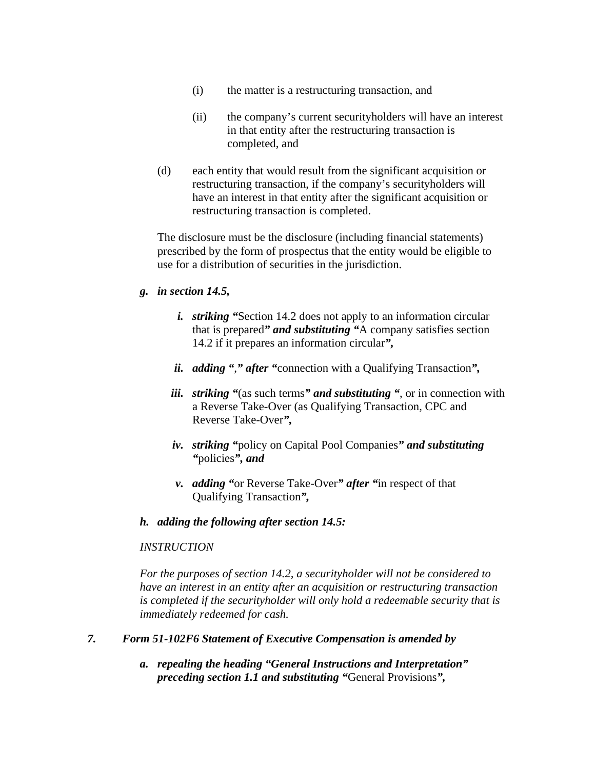- (i) the matter is a restructuring transaction, and
- (ii) the company's current securityholders will have an interest in that entity after the restructuring transaction is completed, and
- (d) each entity that would result from the significant acquisition or restructuring transaction, if the company's securityholders will have an interest in that entity after the significant acquisition or restructuring transaction is completed.

The disclosure must be the disclosure (including financial statements) prescribed by the form of prospectus that the entity would be eligible to use for a distribution of securities in the jurisdiction.

## *g. in section 14.5,*

- *i. striking "*Section 14.2 does not apply to an information circular that is prepared*" and substituting "*A company satisfies section 14.2 if it prepares an information circular*",*
- *ii. adding "*,*" after "*connection with a Qualifying Transaction*",*
- *iii. striking "*(as such terms*" and substituting "*, or in connection with a Reverse Take-Over (as Qualifying Transaction, CPC and Reverse Take-Over*",*
- *iv. striking "*policy on Capital Pool Companies*" and substituting "*policies*", and*
- *v. adding "*or Reverse Take-Over*" after "*in respect of that Qualifying Transaction*",*

### *h. adding the following after section 14.5:*

# *INSTRUCTION*

*For the purposes of section 14.2, a securityholder will not be considered to have an interest in an entity after an acquisition or restructuring transaction is completed if the securityholder will only hold a redeemable security that is immediately redeemed for cash.*

### *7. Form 51-102F6 Statement of Executive Compensation is amended by*

*a. repealing the heading "General Instructions and Interpretation" preceding section 1.1 and substituting "*General Provisions*",*